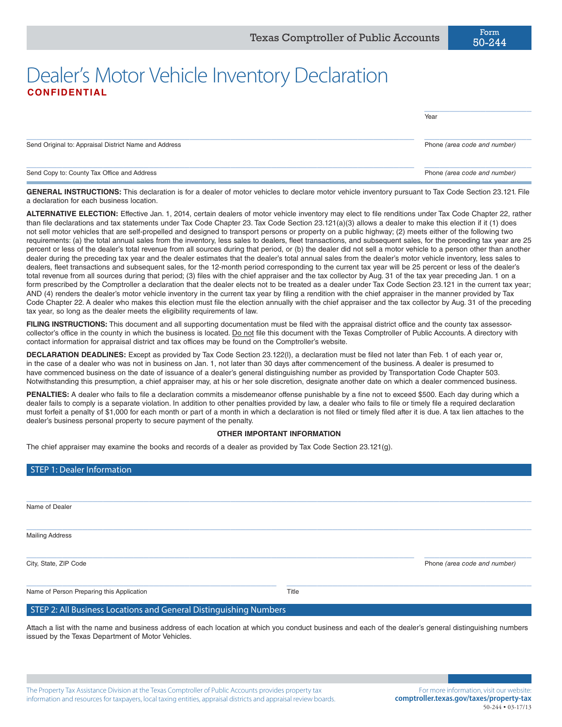## Dealer's Motor Vehicle Inventory Declaration **CONFIDENTIAL**

|                                                       | Year                         |
|-------------------------------------------------------|------------------------------|
| Send Original to: Appraisal District Name and Address | Phone (area code and number) |
| Send Copy to: County Tax Office and Address           | Phone (area code and number) |

GENERAL INSTRUCTIONS: This declaration is for a dealer of motor vehicles to declare motor vehicle inventory pursuant to Tax Code Section 23.121. File a declaration for each business location.

**ALTERNATIVE ELECTION:** Effective Jan. 1, 2014, certain dealers of motor vehicle inventory may elect to file renditions under Tax Code Chapter 22, rather than file declarations and tax statements under Tax Code Chapter 23. Tax Code Section 23.121(a)(3) allows a dealer to make this election if it (1) does not sell motor vehicles that are self-propelled and designed to transport persons or property on a public highway; (2) meets either of the following two requirements: (a) the total annual sales from the inventory, less sales to dealers, fleet transactions, and subsequent sales, for the preceding tax year are 25 percent or less of the dealer's total revenue from all sources during that period, or (b) the dealer did not sell a motor vehicle to a person other than another dealer during the preceding tax year and the dealer estimates that the dealer's total annual sales from the dealer's motor vehicle inventory, less sales to dealers, fleet transactions and subsequent sales, for the 12-month period corresponding to the current tax year will be 25 percent or less of the dealer's total revenue from all sources during that period; (3) files with the chief appraiser and the tax collector by Aug. 31 of the tax year preceding Jan. 1 on a form prescribed by the Comptroller a declaration that the dealer elects not to be treated as a dealer under Tax Code Section 23.121 in the current tax year; AND (4) renders the dealer's motor vehicle inventory in the current tax year by filing a rendition with the chief appraiser in the manner provided by Tax Code Chapter 22. A dealer who makes this election must file the election annually with the chief appraiser and the tax collector by Aug. 31 of the preceding tax year, so long as the dealer meets the eligibility requirements of law.

FILING INSTRUCTIONS: This document and all supporting documentation must be filed with the appraisal district office and the county tax assessorcollector's office in the county in which the business is located. Do not file this document with the Texas Comptroller of Public Accounts. A directory with contact information for appraisal district and tax offices may be found on the Comptroller's website.

**DECLARATION DEADLINES:** Except as provided by Tax Code Section 23.122(l), a declaration must be filed not later than Feb. 1 of each year or, in the case of a dealer who was not in business on Jan. 1, not later than 30 days after commencement of the business. A dealer is presumed to have commenced business on the date of issuance of a dealer's general distinguishing number as provided by Transportation Code Chapter 503. Notwithstanding this presumption, a chief appraiser may, at his or her sole discretion, designate another date on which a dealer commenced business.

**PENALTIES:** A dealer who fails to file a declaration commits a misdemeanor offense punishable by a fine not to exceed \$500. Each day during which a dealer fails to comply is a separate violation. In addition to other penalties provided by law, a dealer who fails to file or timely file a required declaration must forfeit a penalty of \$1,000 for each month or part of a month in which a declaration is not filed or timely filed after it is due. A tax lien attaches to the dealer's business personal property to secure payment of the penalty.

## **OTHER IMPORTANT INFORMATION**

The chief appraiser may examine the books and records of a dealer as provided by Tax Code Section 23.121(g).

| STEP 1: Dealer Information                                        |       |                              |
|-------------------------------------------------------------------|-------|------------------------------|
|                                                                   |       |                              |
|                                                                   |       |                              |
| Name of Dealer                                                    |       |                              |
|                                                                   |       |                              |
| <b>Mailing Address</b>                                            |       |                              |
|                                                                   |       |                              |
| City, State, ZIP Code                                             |       | Phone (area code and number) |
|                                                                   |       |                              |
| Name of Person Preparing this Application                         | Title |                              |
| STEP 2: All Business Locations and General Distinguishing Numbers |       |                              |
|                                                                   |       |                              |

Attach a list with the name and business address of each location at which you conduct business and each of the dealer's general distinguishing numbers issued by the Texas Department of Motor Vehicles.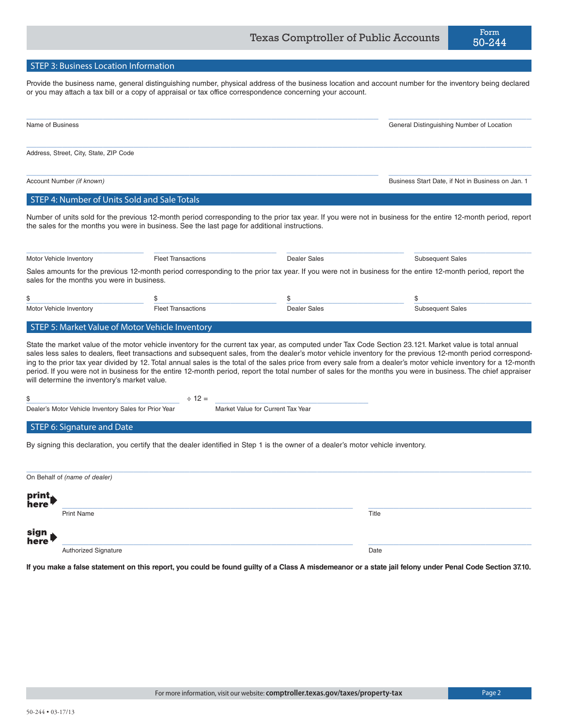Provide the business name, general distinguishing number, physical address of the business location and account number for the inventory being declared or you may attach a tax bill or a copy of appraisal or tax office correspondence concerning your account.

| Name of Business                             | General Distinguishing Number of Location         |
|----------------------------------------------|---------------------------------------------------|
| Address, Street, City, State, ZIP Code       |                                                   |
| Account Number (if known)                    | Business Start Date, if Not in Business on Jan. 1 |
| STEP 4: Number of Units Sold and Sale Totals |                                                   |

Number of units sold for the previous 12-month period corresponding to the prior tax year. If you were not in business for the entire 12-month period, report the sales for the months you were in business. See the last page for additional instructions.

| Motor Vehicle Inventory                    | <b>Fleet Transactions</b> | Dealer Sales | <b>Subsequent Sales</b>                                                                                                                                    |
|--------------------------------------------|---------------------------|--------------|------------------------------------------------------------------------------------------------------------------------------------------------------------|
| sales for the months you were in business. |                           |              | Sales amounts for the previous 12-month period corresponding to the prior tax year. If you were not in business for the entire 12-month period, report the |
|                                            |                           |              |                                                                                                                                                            |
|                                            |                           |              |                                                                                                                                                            |

STEP 5: Market Value of Motor Vehicle Inventory

State the market value of the motor vehicle inventory for the current tax year, as computed under Tax Code Section 23.121. Market value is total annual sales less sales to dealers, fleet transactions and subsequent sales, from the dealer's motor vehicle inventory for the previous 12-month period corresponding to the prior tax year divided by 12. Total annual sales is the total of the sales price from every sale from a dealer's motor vehicle inventory for a 12-month period. If you were not in business for the entire 12-month period, report the total number of sales for the months you were in business. The chief appraiser will determine the inventory's market value.

\_\_\_\_\_\_\_\_\_\_\_\_\_\_\_\_\_\_\_\_\_\_\_\_\_\_\_\_\_\_ ÷ 12 = \_\_\_\_\_\_\_\_\_\_\_\_\_\_\_\_\_\_\_\_\_\_\_\_\_\_\_\_\_\_

Dealer's Motor Vehicle Inventory Sales for Prior Year Market Value for Current Tax Year

## STEP 6: Signature and Date

By signing this declaration, you certify that the dealer identified in Step 1 is the owner of a dealer's motor vehicle inventory.

| On Behalf of (name of dealer) |                             |       |  |  |  |
|-------------------------------|-----------------------------|-------|--|--|--|
| print<br>here                 | <b>Print Name</b>           | Title |  |  |  |
|                               |                             |       |  |  |  |
| sign<br>here                  |                             |       |  |  |  |
|                               | <b>Authorized Signature</b> | Date  |  |  |  |

**If you make a false statement on this report, you could be found guilty of a Class A misdemeanor or a state jail felony under Penal Code Section 37.10.**

50-244